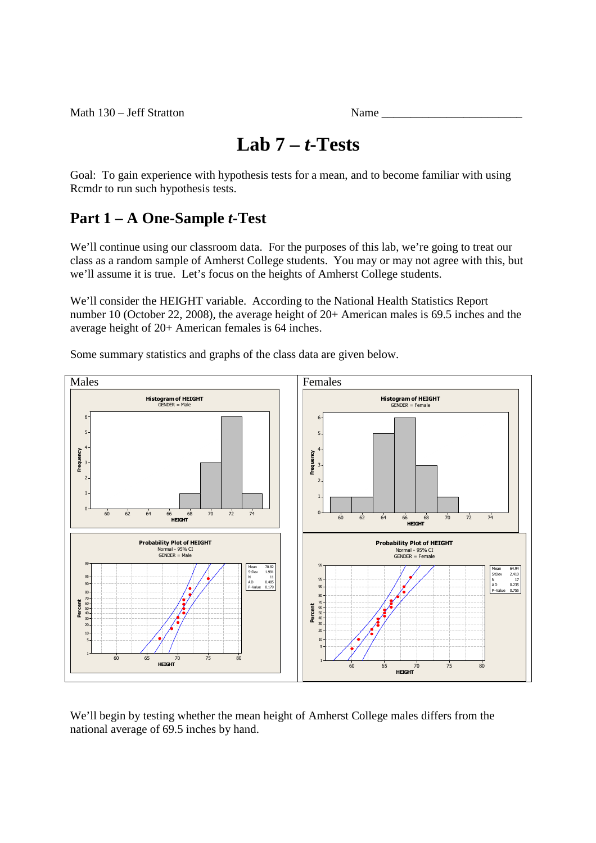# **Lab 7 –** *t***-Tests**

Goal: To gain experience with hypothesis tests for a mean, and to become familiar with using Rcmdr to run such hypothesis tests.

# **Part 1 – A One-Sample** *t***-Test**

We'll continue using our classroom data. For the purposes of this lab, we're going to treat our class as a random sample of Amherst College students. You may or may not agree with this, but we'll assume it is true. Let's focus on the heights of Amherst College students.

We'll consider the HEIGHT variable. According to the National Health Statistics Report number 10 (October 22, 2008), the average height of 20+ American males is 69.5 inches and the average height of 20+ American females is 64 inches.

Some summary statistics and graphs of the class data are given below.



We'll begin by testing whether the mean height of Amherst College males differs from the national average of 69.5 inches by hand.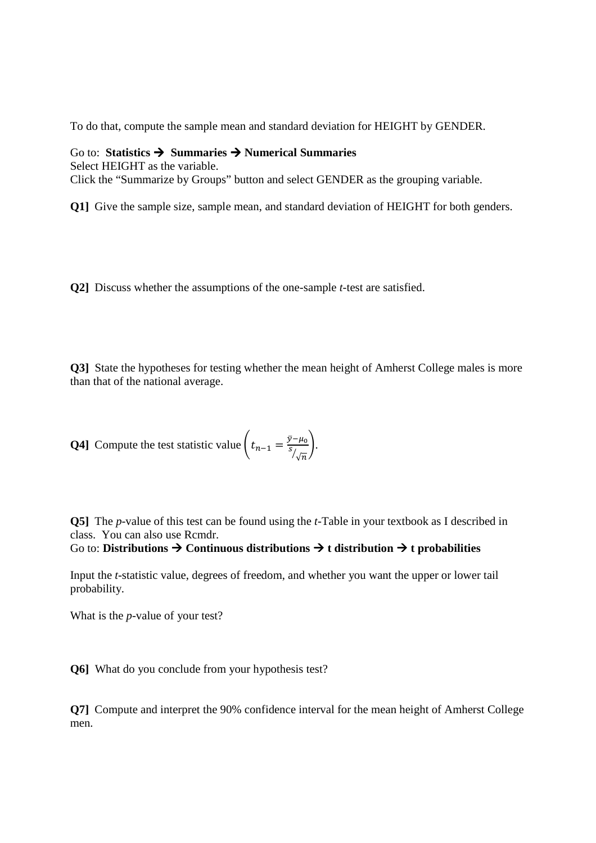To do that, compute the sample mean and standard deviation for HEIGHT by GENDER.

### Go to: **Statistics Summaries Numerical Summaries**

Select HEIGHT as the variable. Click the "Summarize by Groups" button and select GENDER as the grouping variable.

**Q1]** Give the sample size, sample mean, and standard deviation of HEIGHT for both genders.

**Q2]** Discuss whether the assumptions of the one-sample *t*-test are satisfied.

**Q3]** State the hypotheses for testing whether the mean height of Amherst College males is more than that of the national average.

**Q4** Compute the test statistic value 
$$
\left(t_{n-1} = \frac{\bar{y} - \mu_0}{s_{\sqrt{n}}}\right)
$$
.

**Q5]** The *p*-value of this test can be found using the *t*-Table in your textbook as I described in class. You can also use Rcmdr.

### Go to: **Distributions Continuous distributions t distribution t probabilities**

Input the *t*-statistic value, degrees of freedom, and whether you want the upper or lower tail probability.

What is the *p*-value of your test?

**Q6]** What do you conclude from your hypothesis test?

**Q7]** Compute and interpret the 90% confidence interval for the mean height of Amherst College men.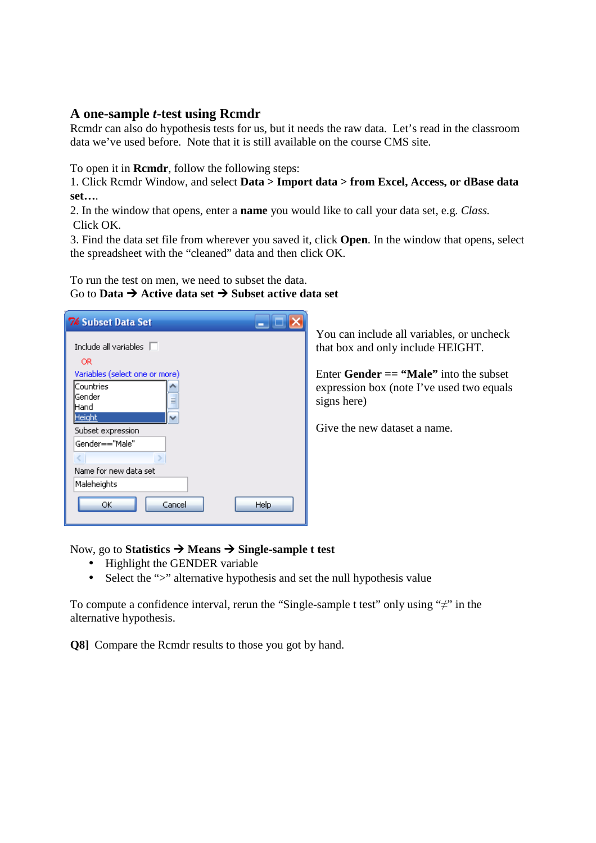### **A one-sample** *t***-test using Rcmdr**

Rcmdr can also do hypothesis tests for us, but it needs the raw data. Let's read in the classroom data we've used before. Note that it is still available on the course CMS site.

To open it in **Rcmdr**, follow the following steps:

1. Click Rcmdr Window, and select **Data > Import data > from Excel, Access, or dBase data set…**.

2. In the window that opens, enter a **name** you would like to call your data set, e.g. *Class.*  Click OK.

3. Find the data set file from wherever you saved it, click **Open**. In the window that opens, select the spreadsheet with the "cleaned" data and then click OK.

To run the test on men, we need to subset the data. Go to **Data**  $\rightarrow$  **Active data set**  $\rightarrow$  **Subset active data set** 

| <b>76 Subset Data Set</b>      |
|--------------------------------|
| Include all variables $\Box$   |
| OR.                            |
| Variables (select one or more) |
| Countries                      |
| Gender                         |
| Hand                           |
| Height                         |
| Subset expression              |
| Gender=="Male"                 |
|                                |
| Name for new data set          |
| Maleheights                    |
| Help<br>Cancel<br>ОК           |

You can include all variables, or uncheck that box and only include HEIGHT.

Enter **Gender == "Male"** into the subset expression box (note I've used two equals signs here)

Give the new dataset a name.

Now, go to **Statistics Means Single-sample t test** 

- Highlight the GENDER variable
- Select the ">" alternative hypothesis and set the null hypothesis value

To compute a confidence interval, rerun the "Single-sample t test" only using "≠" in the alternative hypothesis.

**Q8]** Compare the Rcmdr results to those you got by hand.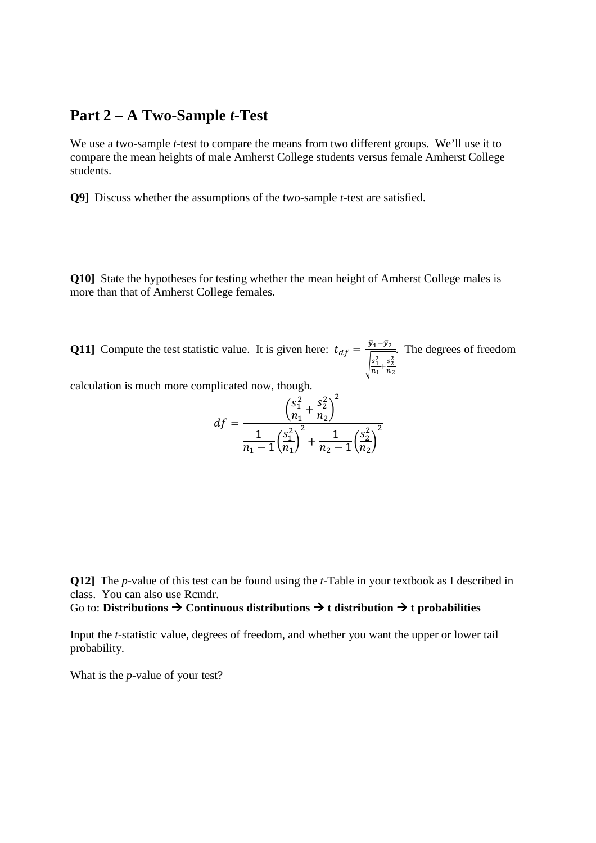### **Part 2 – A Two-Sample** *t***-Test**

We use a two-sample *t*-test to compare the means from two different groups. We'll use it to compare the mean heights of male Amherst College students versus female Amherst College students.

**Q9]** Discuss whether the assumptions of the two-sample *t*-test are satisfied.

**Q10]** State the hypotheses for testing whether the mean height of Amherst College males is more than that of Amherst College females.

**Q11**] Compute the test statistic value. It is given here:  $t_{df} = \frac{\bar{y}_1 - \bar{y}_2}{\sqrt{2\pi}}$  $\frac{s_1^2}{n}$  $\frac{s_1^2}{n_1} + \frac{s_2^2}{n_2}$  $n<sub>2</sub>$ . The degrees of freedom

calculation is much more complicated now, though.

$$
df = \frac{\left(\frac{S_1^2}{n_1} + \frac{S_2^2}{n_2}\right)^2}{\frac{1}{n_1 - 1} \left(\frac{S_1^2}{n_1}\right)^2 + \frac{1}{n_2 - 1} \left(\frac{S_2^2}{n_2}\right)^2}
$$

**Q12]** The *p*-value of this test can be found using the *t*-Table in your textbook as I described in class. You can also use Rcmdr.

### Go to: **Distributions Continuous distributions t distribution t probabilities**

Input the *t*-statistic value, degrees of freedom, and whether you want the upper or lower tail probability.

What is the *p*-value of your test?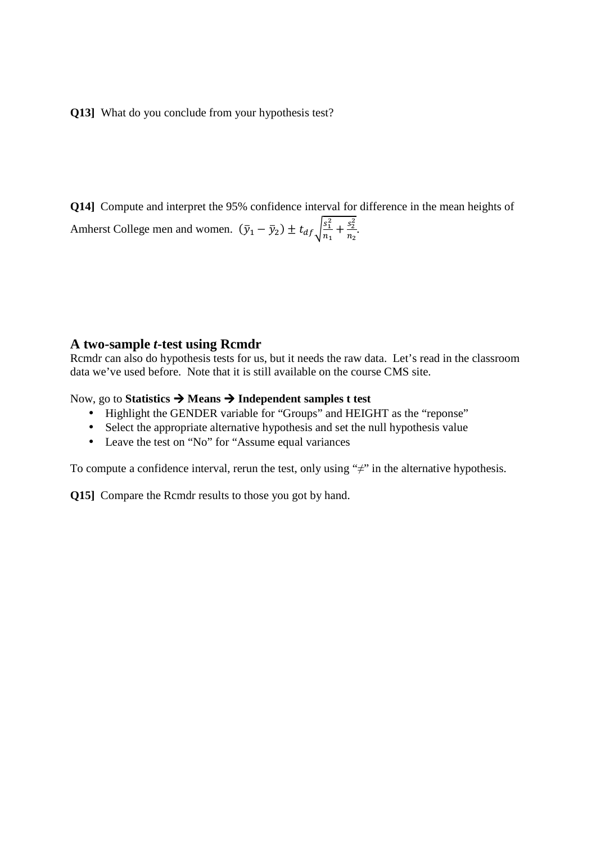**Q13]** What do you conclude from your hypothesis test?

**Q14]** Compute and interpret the 95% confidence interval for difference in the mean heights of Amherst College men and women.  $(\bar{y}_1 - \bar{y}_2) \pm t_{df} \sqrt{\frac{s_1^2}{n_1}}$  $\frac{s_1^2}{n_1} + \frac{s_2^2}{n_2}$  $\frac{s_2}{n_2}$ .

### **A two-sample** *t***-test using Rcmdr**

Rcmdr can also do hypothesis tests for us, but it needs the raw data. Let's read in the classroom data we've used before. Note that it is still available on the course CMS site.

Now, go to **Statistics Means Independent samples t test** 

- Highlight the GENDER variable for "Groups" and HEIGHT as the "reponse"
- Select the appropriate alternative hypothesis and set the null hypothesis value
- Leave the test on "No" for "Assume equal variances"

To compute a confidence interval, rerun the test, only using " $\neq$ " in the alternative hypothesis.

**Q15]** Compare the Rcmdr results to those you got by hand.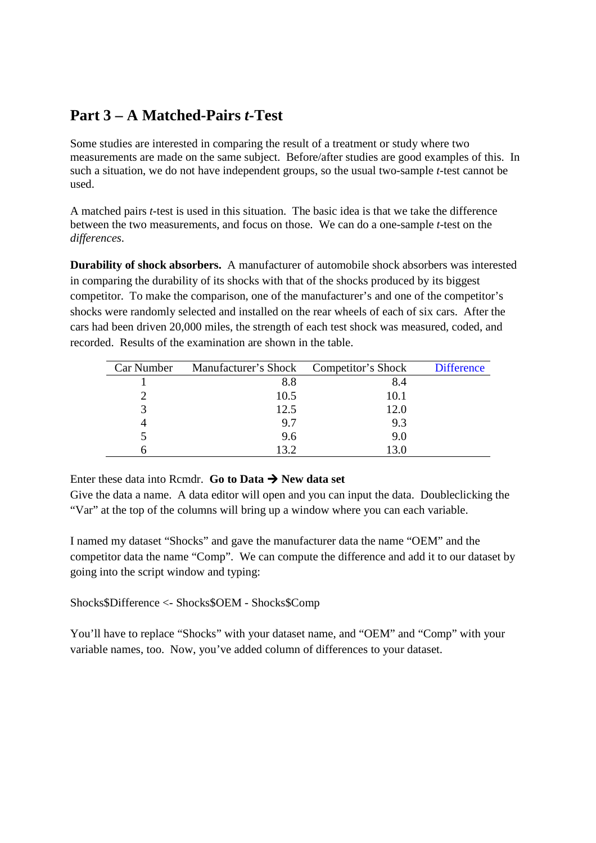## **Part 3 – A Matched-Pairs** *t***-Test**

Some studies are interested in comparing the result of a treatment or study where two measurements are made on the same subject. Before/after studies are good examples of this. In such a situation, we do not have independent groups, so the usual two-sample *t*-test cannot be used.

A matched pairs *t*-test is used in this situation. The basic idea is that we take the difference between the two measurements, and focus on those. We can do a one-sample *t*-test on the *differences*.

**Durability of shock absorbers.** A manufacturer of automobile shock absorbers was interested in comparing the durability of its shocks with that of the shocks produced by its biggest competitor. To make the comparison, one of the manufacturer's and one of the competitor's shocks were randomly selected and installed on the rear wheels of each of six cars. After the cars had been driven 20,000 miles, the strength of each test shock was measured, coded, and recorded. Results of the examination are shown in the table.

| Car Number | Manufacturer's Shock Competitor's Shock |      | <b>Difference</b> |
|------------|-----------------------------------------|------|-------------------|
|            | 8.8                                     | 8.4  |                   |
|            | 10.5                                    | 10.1 |                   |
|            | 12.5                                    | 12.0 |                   |
|            | 9.7                                     | 9.3  |                   |
|            | 9.6                                     | 9.0  |                   |
|            | 13.2                                    | 13.0 |                   |

Enter these data into Rcmdr. **Go to Data**  $\rightarrow$  **New data set** 

Give the data a name. A data editor will open and you can input the data. Doubleclicking the "Var" at the top of the columns will bring up a window where you can each variable.

I named my dataset "Shocks" and gave the manufacturer data the name "OEM" and the competitor data the name "Comp". We can compute the difference and add it to our dataset by going into the script window and typing:

Shocks\$Difference <- Shocks\$OEM - Shocks\$Comp

You'll have to replace "Shocks" with your dataset name, and "OEM" and "Comp" with your variable names, too. Now, you've added column of differences to your dataset.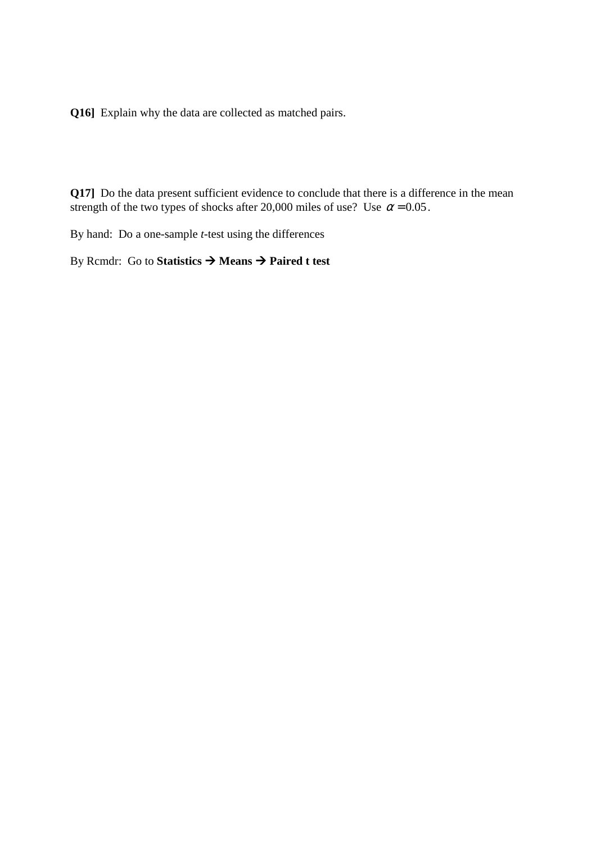**Q16]** Explain why the data are collected as matched pairs.

**Q17]** Do the data present sufficient evidence to conclude that there is a difference in the mean strength of the two types of shocks after 20,000 miles of use? Use  $\alpha$  = 0.05.

By hand: Do a one-sample *t*-test using the differences

By Rcmdr: Go to **Statistics Means Paired t test**